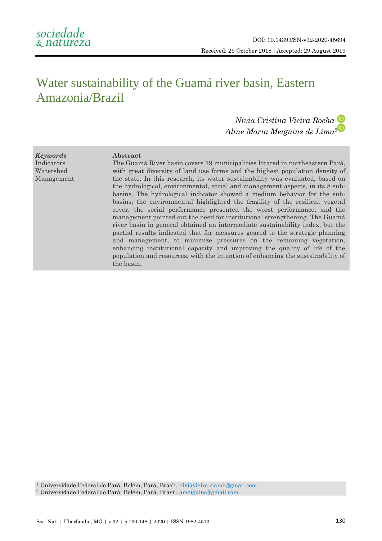# Water sustainability of the Guamá river basin, Eastern Amazonia/Brazil

# *Nívia Cristina Vieira Rocha*[1](http://orcid.org/0000-0001-9808-5716) *Aline Maria Meiguins de Lima*[2](http://orcid.org/0000-0002-0594-0187)

*Keywords* Indicators Watershed Management

**.** 

# **Abstract**

The Guamá River basin covers 19 municipalities located in northeastern Pará, with great diversity of land use forms and the highest population density of the state. In this research, its water sustainability was evaluated, based on the hydrological, environmental, social and management aspects, in its 8 subbasins. The hydrological indicator showed a medium behavior for the subbasins; the environmental highlighted the fragility of the resilient vegetal cover; the social performance presented the worst performance; and the management pointed out the need for institutional strengthening. The Guamá river basin in general obtained an intermediate sustainability index, but the partial results indicated that for measures geared to the strategic planning and management, to minimize pressures on the remaining vegetation, enhancing institutional capacity and improving the quality of life of the population and resources, with the intention of enhancing the sustainability of the basin.

<sup>1</sup> Universidade Federal do Pará, Belém, Pará, Brasil.<niviavieira.ciamb@gmail.com>

<sup>2</sup> Universidade Federal do Pará, Belém, Pará, Brasil. [ameiguins@gmail.com](mailto:ameiguins@gmail.com)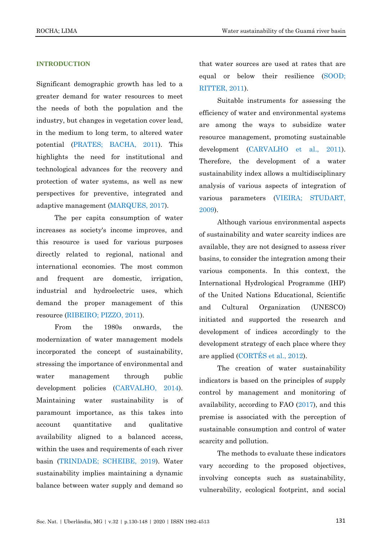# **INTRODUCTION**

Significant demographic growth has led to a greater demand for water resources to meet the needs of both the population and the industry, but changes in vegetation cover lead, in the medium to long term, to altered water potential [\(PRATES; BACHA, 2011\)](#page-17-0). This highlights the need for institutional and technological advances for the recovery and protection of water systems, as well as new perspectives for preventive, integrated and adaptive management [\(MARQUES, 2017\)](#page-16-0).

The per capita consumption of water increases as society's income improves, and this resource is used for various purposes directly related to regional, national and international economies. The most common and frequent are domestic, irrigation, industrial and hydroelectric uses, which demand the proper management of this resource [\(RIBEIRO; PIZZO, 2011\)](#page-17-1).

From the 1980s onwards, the modernization of water management models incorporated the concept of sustainability, stressing the importance of environmental and water management through public development policies [\(CARVALHO, 2014\)](#page-15-0). Maintaining water sustainability is of paramount importance, as this takes into account quantitative and qualitative availability aligned to a balanced access, within the uses and requirements of each river basin [\(TRINDADE; SCHEIBE, 2019\)](#page-18-0). Water sustainability implies maintaining a dynamic balance between water supply and demand so

that water sources are used at rates that are equal or below their resilience [\(SOOD;](#page-17-2)  [RITTER, 2011\)](#page-17-2).

Suitable instruments for assessing the efficiency of water and environmental systems are among the ways to subsidize water resource management, promoting sustainable development [\(CARVALHO et al., 2011\)](#page-15-1). Therefore, the development of a water sustainability index allows a multidisciplinary analysis of various aspects of integration of various parameters [\(VIEIRA; STUDART,](#page-18-1)  [2009\)](#page-18-1).

Although various environmental aspects of sustainability and water scarcity indices are available, they are not designed to assess river basins, to consider the integration among their various components. In this context, the International Hydrological Programme (IHP) of the United Nations Educational, Scientific and Cultural Organization (UNESCO) initiated and supported the research and development of indices accordingly to the development strategy of each place where they are applied [\(CORTÉS et al., 2012\)](#page-16-1).

The creation of water sustainability indicators is based on the principles of supply control by management and monitoring of availability, according to FAO [\(2017\)](#page-16-2), and this premise is associated with the perception of sustainable consumption and control of water scarcity and pollution.

The methods to evaluate these indicators vary according to the proposed objectives, involving concepts such as sustainability, vulnerability, ecological footprint, and social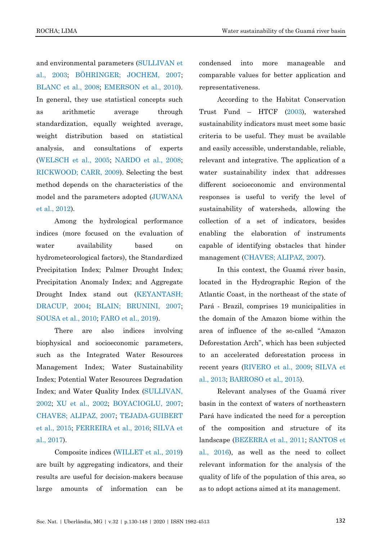and environmental parameters [\(SULLIVAN et](#page-18-2)  [al., 2003;](#page-18-2) [BÖHRINGER; JOCHEM, 2007;](#page-15-2) [BLANC et al., 2008;](#page-15-3) [EMERSON et al., 2010\)](#page-16-3). In general, they use statistical concepts such as arithmetic average through standardization, equally weighted average, weight distribution based on statistical analysis, and consultations of experts [\(WELSCH et al., 2005;](#page-18-3) [NARDO et al., 2008;](#page-17-3) [RICKWOOD; CARR, 2009\)](#page-17-4). Selecting the best method depends on the characteristics of the model and the parameters adopted [\(JUWANA](#page-16-4)  [et al., 2012\)](#page-16-4).

Among the hydrological performance indices (more focused on the evaluation of water availability based on hydrometeorological factors), the Standardized Precipitation Index; Palmer Drought Index; Precipitation Anomaly Index; and Aggregate Drought Index stand out [\(KEYANTASH;](#page-16-5)  [DRACUP, 2004;](#page-16-5) [BLAIN; BRUNINI, 2007;](#page-15-4) [SOUSA et al., 2010;](#page-17-5) [FARO et al., 2019\)](#page-16-6).

There are also indices involving biophysical and socioeconomic parameters, such as the Integrated Water Resources Management Index; Water Sustainability Index; Potential Water Resources Degradation Index; and Water Quality Index [\(SULLIVAN,](#page-18-4)  [2002;](#page-18-4) [XU et al., 2002;](#page-18-5) [BOYACIOGLU, 2007;](#page-15-5) [CHAVES; ALIPAZ, 2007;](#page-15-6) [TEJADA-GUIBERT](#page-18-6)  [et al., 2015;](#page-18-6) [FERREIRA et al., 2016;](#page-16-7) [SILVA et](#page-17-6)  [al., 2017\)](#page-17-6).

Composite indices [\(WILLET et al., 2019\)](#page-18-7) are built by aggregating indicators, and their results are useful for decision-makers because large amounts of information can be

condensed into more manageable and comparable values for better application and representativeness.

According to the Habitat Conservation Trust Fund – HTCF [\(2003\)](#page-16-8), watershed sustainability indicators must meet some basic criteria to be useful. They must be available and easily accessible, understandable, reliable, relevant and integrative. The application of a water sustainability index that addresses different socioeconomic and environmental responses is useful to verify the level of sustainability of watersheds, allowing the collection of a set of indicators, besides enabling the elaboration of instruments capable of identifying obstacles that hinder management [\(CHAVES; ALIPAZ, 2007\)](#page-15-6).

In this context, the Guamá river basin, located in the Hydrographic Region of the Atlantic Coast, in the northeast of the state of Pará - Brazil, comprises 19 municipalities in the domain of the Amazon biome within the area of influence of the so-called "Amazon Deforestation Arch", which has been subjected to an accelerated deforestation process in recent years [\(RIVERO et al., 2009;](#page-17-7) [SILVA et](#page-17-8)  [al., 2013;](#page-17-8) BARROSO et al., 2015).

Relevant analyses of the Guamá river basin in the context of waters of northeastern Pará have indicated the need for a perception of the composition and structure of its landscape (BEZERRA et al., 2011; [SANTOS et](#page-17-9)  [al., 2016\)](#page-17-9), as well as the need to collect relevant information for the analysis of the quality of life of the population of this area, so as to adopt actions aimed at its management.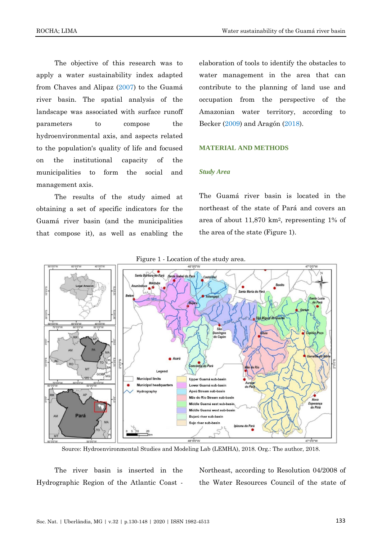The objective of this research was to apply a water sustainability index adapted from Chaves and Alipaz [\(2007\)](#page-15-6) to the Guamá river basin. The spatial analysis of the landscape was associated with surface runoff parameters to compose the hydroenvironmental axis, and aspects related to the population's quality of life and focused on the institutional capacity of the municipalities to form the social and management axis.

The results of the study aimed at obtaining a set of specific indicators for the Guamá river basin (and the municipalities that compose it), as well as enabling the

elaboration of tools to identify the obstacles to water management in the area that can contribute to the planning of land use and occupation from the perspective of the Amazonian water territory, according to Becker [\(2009\)](#page-15-7) and Aragón [\(2018\)](#page-14-0).

# **MATERIAL AND METHODS**

#### *Study Area*

The Guamá river basin is located in the northeast of the state of Pará and covers an area of about 11,870 km2, representing 1% of the area of the state (Figure 1).



Source: Hydroenvironmental Studies and Modeling Lab (LEMHA), 2018. Org.: The author, 2018.

The river basin is inserted in the Hydrographic Region of the Atlantic Coast -

Northeast, according to Resolution 04/2008 of the Water Resources Council of the state of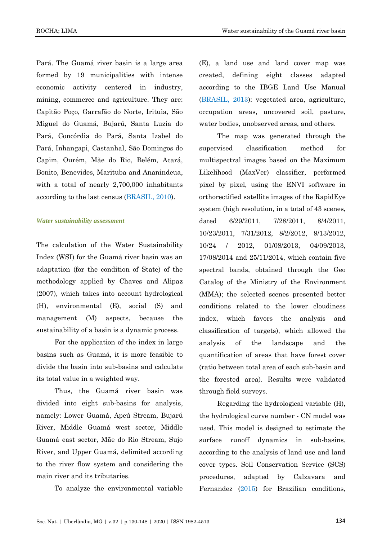Pará. The Guamá river basin is a large area formed by 19 municipalities with intense economic activity centered in industry, mining, commerce and agriculture. They are: Capitão Poço, Garrafão do Norte, Irituia, São Miguel do Guamá, Bujarú, Santa Luzia do Pará, Concórdia do Pará, Santa Izabel do Pará, Inhangapi, Castanhal, São Domingos do Capim, Ourém, Mãe do Rio, Belém, Acará, Bonito, Benevides, Marituba and Ananindeua, with a total of nearly 2,700,000 inhabitants according to the last census [\(BRASIL,](#page-15-8) 2010).

# *Water sustainability assessment*

The calculation of the Water Sustainability Index (WSI) for the Guamá river basin was an adaptation (for the condition of State) of the methodology applied by Chaves and Alipaz (2007), which takes into account hydrological (H), environmental (E), social (S) and management (M) aspects, because the sustainability of a basin is a dynamic process.

For the application of the index in large basins such as Guamá, it is more feasible to divide the basin into sub-basins and calculate its total value in a weighted way.

Thus, the Guamá river basin was divided into eight sub-basins for analysis, namely: Lower Guamá, Apeú Stream, Bujarú River, Middle Guamá west sector, Middle Guamá east sector, Mãe do Rio Stream, Sujo River, and Upper Guamá, delimited according to the river flow system and considering the main river and its tributaries.

To analyze the environmental variable

(E), a land use and land cover map was created, defining eight classes adapted according to the IBGE Land Use Manual [\(BRASIL, 2013\)](#page-15-9): vegetated area, agriculture, occupation areas, uncovered soil, pasture, water bodies, unobserved areas, and others.

The map was generated through the supervised classification method for multispectral images based on the Maximum Likelihood (MaxVer) classifier, performed pixel by pixel, using the ENVI software in orthorectified satellite images of the RapidEye system (high resolution, in a total of 43 scenes, dated 6/29/2011, 7/28/2011, 8/4/2011, 10/23/2011, 7/31/2012, 8/2/2012, 9/13/2012, 10/24 / 2012, 01/08/2013, 04/09/2013, 17/08/2014 and 25/11/2014, which contain five spectral bands, obtained through the Geo Catalog of the Ministry of the Environment (MMA); the selected scenes presented better conditions related to the lower cloudiness index, which favors the analysis and classification of targets), which allowed the analysis of the landscape and the quantification of areas that have forest cover (ratio between total area of each sub-basin and the forested area). Results were validated through field surveys.

Regarding the hydrological variable (H), the hydrological curve number - CN model was used. This model is designed to estimate the surface runoff dynamics in sub-basins, according to the analysis of land use and land cover types. Soil Conservation Service (SCS) procedures, adapted by Calzavara and Fernandez [\(2015\)](#page-15-10) for Brazilian conditions,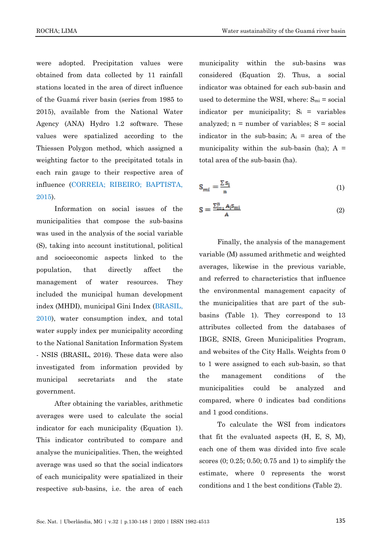were adopted. Precipitation values were obtained from data collected by 11 rainfall stations located in the area of direct influence of the Guamá river basin (series from 1985 to 2015), available from the National Water Agency (ANA) Hydro 1.2 software. These values were spatialized according to the Thiessen Polygon method, which assigned a weighting factor to the precipitated totals in each rain gauge to their respective area of influence [\(CORREIA; RIBEIRO; BAPTISTA,](#page-16-9)  [2015\)](#page-16-9).

Information on social issues of the municipalities that compose the sub-basins was used in the analysis of the social variable (S), taking into account institutional, political and socioeconomic aspects linked to the population, that directly affect the management of water resources. They included the municipal human development index (MHDI), municipal Gini Index [\(BRASIL,](#page-15-8)  [2010\)](#page-15-8), water consumption index, and total water supply index per municipality according to the National Sanitation Information System - NSIS (BRASIL, 2016). These data were also investigated from information provided by municipal secretariats and the state government.

After obtaining the variables, arithmetic averages were used to calculate the social indicator for each municipality (Equation 1). This indicator contributed to compare and analyse the municipalities. Then, the weighted average was used so that the social indicators of each municipality were spatialized in their respective sub-basins, i.e. the area of each municipality within the sub-basins was considered (Equation 2). Thus, a social indicator was obtained for each sub-basin and used to determine the WSI, where:  $S_{mi}$  = social indicator per municipality;  $S_i$  = variables analyzed;  $n =$  number of variables;  $S =$  social indicator in the sub-basin;  $A_i$  = area of the municipality within the sub-basin (ha);  $A =$ total area of the sub-basin (ha).

$$
S_{mi} = \frac{\sum S_i}{n} \tag{1}
$$

$$
S = \frac{\sum_{i=1}^{n} A_i S_{mi}}{A} \tag{2}
$$

Finally, the analysis of the management variable (M) assumed arithmetic and weighted averages, likewise in the previous variable, and referred to characteristics that influence the environmental management capacity of the municipalities that are part of the subbasins (Table 1). They correspond to 13 attributes collected from the databases of IBGE, SNIS, Green Municipalities Program, and websites of the City Halls. Weights from 0 to 1 were assigned to each sub-basin, so that the management conditions of the municipalities could be analyzed and compared, where 0 indicates bad conditions and 1 good conditions.

To calculate the WSI from indicators that fit the evaluated aspects (H, E, S, M), each one of them was divided into five scale scores (0; 0.25; 0.50; 0.75 and 1) to simplify the estimate, where 0 represents the worst conditions and 1 the best conditions (Table 2).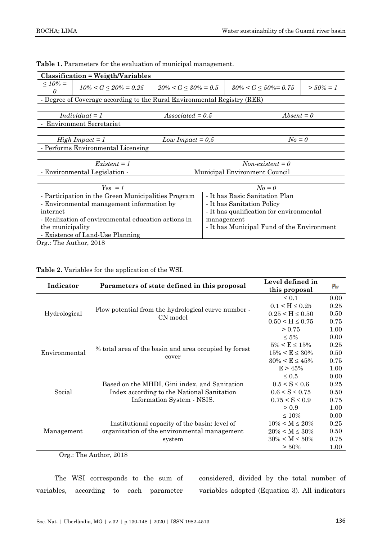| <b>Classification = Weigth/Variables</b>            |                                                                          |  |                                            |             |  |
|-----------------------------------------------------|--------------------------------------------------------------------------|--|--------------------------------------------|-------------|--|
| $10\% =$<br>$10\% < G \leq 20\% = 0.25$<br>0        | $20\% < G \leq 30\% = 0.5$                                               |  | $30\% < G \le 50\% = 0.75$                 | $>$ 50% = 1 |  |
|                                                     | - Degree of Coverage according to the Rural Environmental Registry (RER) |  |                                            |             |  |
|                                                     |                                                                          |  |                                            |             |  |
| $Individual = 1$                                    | $Associated = 0.5$                                                       |  | $Absent = 0$                               |             |  |
| <b>Environment Secretariat</b>                      |                                                                          |  |                                            |             |  |
|                                                     |                                                                          |  |                                            |             |  |
| $High\, Impact = 1$                                 | $N_o = 0$<br>Low Impact $= 0.5$                                          |  |                                            |             |  |
| - Performs Environmental Licensing                  |                                                                          |  |                                            |             |  |
|                                                     |                                                                          |  |                                            |             |  |
| $Existent = 1$<br>$Non-existent = 0$                |                                                                          |  |                                            |             |  |
| - Environmental Legislation -                       |                                                                          |  | Municipal Environment Council              |             |  |
|                                                     |                                                                          |  |                                            |             |  |
| $Yes = 1$<br>$N_o = 0$                              |                                                                          |  |                                            |             |  |
| - Participation in the Green Municipalities Program |                                                                          |  | - It has Basic Sanitation Plan             |             |  |
| - Environmental management information by           |                                                                          |  | - It has Sanitation Policy                 |             |  |
| internet                                            |                                                                          |  | - It has qualification for environmental   |             |  |
| - Realization of environmental education actions in |                                                                          |  | management                                 |             |  |
| the municipality                                    |                                                                          |  | - It has Municipal Fund of the Environment |             |  |
| - Existence of Land-Use Planning                    |                                                                          |  |                                            |             |  |

**Table 1.** Parameters for the evaluation of municipal management.

Org.: The Author, 2018

|  |  |  | Table 2. Variables for the application of the WSI. |  |  |
|--|--|--|----------------------------------------------------|--|--|
|--|--|--|----------------------------------------------------|--|--|

| Indicator     | Parameters of state defined in this proposal                    | Level defined in<br>this proposal | $p_w$ |
|---------------|-----------------------------------------------------------------|-----------------------------------|-------|
|               |                                                                 | $\leq 0.1$                        | 0.00  |
|               |                                                                 | $0.1 < H \le 0.25$                | 0.25  |
| Hydrological  | Flow potential from the hydrological curve number -<br>CN model | $0.25 < H \leq 0.50$              | 0.50  |
|               |                                                                 | $0.50 < H \leq 0.75$              | 0.75  |
|               |                                                                 | > 0.75                            | 1.00  |
|               |                                                                 | $\leq 5\%$                        | 0.00  |
| Environmental | % total area of the basin and area occupied by forest<br>cover  | $5\% < E \leq 15\%$               | 0.25  |
|               |                                                                 | $15\% < E \leq 30\%$              | 0.50  |
|               |                                                                 | $30\% < E \leq 45\%$              | 0.75  |
|               |                                                                 | $E > 45\%$                        | 1.00  |
|               |                                                                 | $\leq 0.5$                        | 0.00  |
| Social        | Based on the MHDI, Gini index, and Sanitation                   | $0.5 < S \leq 0.6$                | 0.25  |
|               | Index according to the National Sanitation                      | $0.6 < S \leq 0.75$               | 0.50  |
|               | Information System - NSIS.                                      | $0.75 < S \leq 0.9$               | 0.75  |
|               |                                                                 | > 0.9                             | 1.00  |
|               |                                                                 | $\leq 10\%$                       | 0.00  |
|               | Institutional capacity of the basin: level of                   | $10\% < M \leq 20\%$              | 0.25  |
| Management    | organization of the environmental management                    | $20\% < M \leq 30\%$              | 0.50  |
|               | system                                                          | $30\% < M \leq 50\%$              | 0.75  |
|               |                                                                 | $> 50\%$                          | 1.00  |

Org.: The Author, 2018

The WSI corresponds to the sum of variables, according to each parameter considered, divided by the total number of variables adopted (Equation 3). All indicators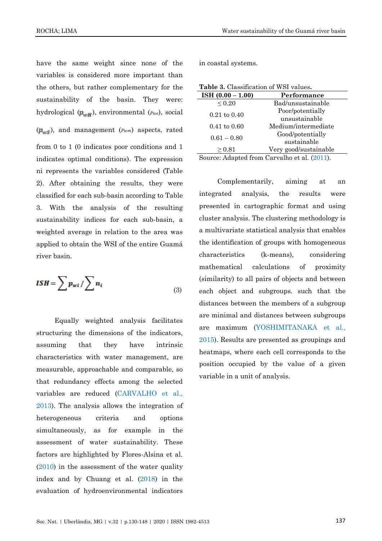have the same weight since none of the variables is considered more important than the others, but rather complementary for the sustainability of the basin. They were: hydrological  $(p_{wH})$ , environmental  $(p_{we})$ , social  $(\mathbf{p}_{ws})$ , and management  $(p_{wm})$  aspects, rated from 0 to 1 (0 indicates poor conditions and 1 indicates optimal conditions). The expression

ni represents the variables considered (Table 2). After obtaining the results, they were classified for each sub-basin according to Table 3. With the analysis of the resulting sustainability indices for each sub-basin, a weighted average in relation to the area was applied to obtain the WSI of the entire Guamá river basin.

$$
ISH = \sum p_{wi} / \sum n_i \tag{3}
$$

Equally weighted analysis facilitates structuring the dimensions of the indicators, assuming that they have intrinsic characteristics with water management, are measurable, approachable and comparable, so that redundancy effects among the selected variables are reduced [\(CARVALHO et al.,](#page-15-11)  [2013\)](#page-15-11). The analysis allows the integration of heterogeneous criteria and options simultaneously, as for example in the assessment of water sustainability. These factors are highlighted by Flores-Alsina et al. [\(2010\)](#page-16-10) in the assessment of the water quality index and by Chuang et al. [\(2018\)](#page-15-12) in the evaluation of hydroenvironmental indicators

ROCHA; LIMA Water sustainability of the Guamá river basin

in coastal systems.

| Table 3. Classification of WSI values. |                                                |
|----------------------------------------|------------------------------------------------|
| ISH $(0.00 - 1.00)$                    | Performance                                    |
| $\leq 0.20$                            | Bad/unsustainable                              |
|                                        | Poor/potentially                               |
| $0.21 \text{ to } 0.40$                | unsustainable                                  |
| $0.41 \text{ to } 0.60$                | Medium/intermediate                            |
| $0.61 - 0.80$                          | Good/potentially                               |
|                                        | sustainable                                    |
| $\geq 0.81$                            | Very good/sustainable                          |
|                                        | $Soumon$ , Adopted from Convolbe et al. (9011) |

Source: Adapted from Carvalho et al. [\(2011\)](#page-15-1).

Complementarily, aiming at an integrated analysis, the results were presented in cartographic format and using cluster analysis. The clustering methodology is a multivariate statistical analysis that enables the identification of groups with homogeneous characteristics (k-means), considering mathematical calculations of proximity (similarity) to all pairs of objects and between each object and subgroups. such that the distances between the members of a subgroup are minimal and distances between subgroups are maximum (YOSHIMITANAKA et al., 2015). Results are presented as groupings and heatmaps, where each cell corresponds to the position occupied by the value of a given variable in a unit of analysis.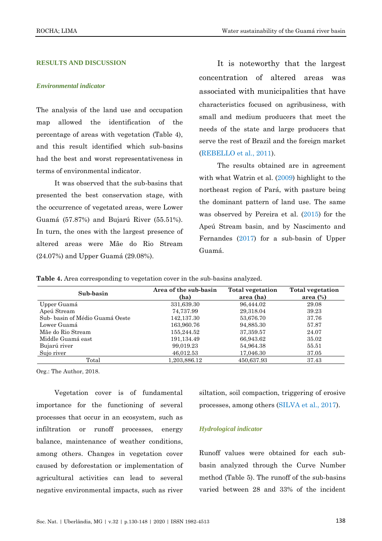### **RESULTS AND DISCUSSION**

#### *Environmental indicator*

The analysis of the land use and occupation map allowed the identification of the percentage of areas with vegetation (Table 4), and this result identified which sub-basins had the best and worst representativeness in terms of environmental indicator.

It was observed that the sub-basins that presented the best conservation stage, with the occurrence of vegetated areas, were Lower Guamá (57.87%) and Bujarú River (55.51%). In turn, the ones with the largest presence of altered areas were Mãe do Rio Stream (24.07%) and Upper Guamá (29.08%).

It is noteworthy that the largest concentration of altered areas was associated with municipalities that have characteristics focused on agribusiness, with small and medium producers that meet the needs of the state and large producers that serve the rest of Brazil and the foreign market [\(REBELLO et al., 2011\)](#page-17-10).

The results obtained are in agreement with what Watrin et al. [\(2009\)](#page-18-8) highlight to the northeast region of Pará, with pasture being the dominant pattern of land use. The same was observed by Pereira et al. [\(2015\)](#page-17-11) for the Apeú Stream basin, and by Nascimento and Fernandes [\(2017\)](#page-17-12) for a sub-basin of Upper Guamá.

**Table 4.** Area corresponding to vegetation cover in the sub-basins analyzed.

| Sub-basin                      | Area of the sub-basin<br>(ha) | <b>Total vegetation</b><br>area (ha) | <b>Total vegetation</b><br>area $(\%)$ |
|--------------------------------|-------------------------------|--------------------------------------|----------------------------------------|
| Upper Guamá                    | 331,639.30                    | 96,444.02                            | 29.08                                  |
| Apeú Stream                    | 74,737.99                     | 29,318.04                            | 39.23                                  |
| Sub-basin of Médio Guamá Oeste | 142,137.30                    | 53,676.70                            | 37.76                                  |
| Lower Guamá                    | 163,960.76                    | 94,885.30                            | 57.87                                  |
| Mãe do Rio Stream              | 155,244.52                    | 37,359.57                            | 24.07                                  |
| Middle Guamá east              | 191,134.49                    | 66,943.62                            | 35.02                                  |
| Bujarú river                   | 99,019.23                     | 54,964.38                            | 55.51                                  |
| Sujo river                     | 46,012.53                     | 17,046.30                            | 37.05                                  |
| Total                          | 1.203.886.12                  | 450.637.93                           | 37.43                                  |

Org.: The Author, 2018.

Vegetation cover is of fundamental importance for the functioning of several processes that occur in an ecosystem, such as infiltration or runoff processes, energy balance, maintenance of weather conditions, among others. Changes in vegetation cover caused by deforestation or implementation of agricultural activities can lead to several negative environmental impacts, such as river

siltation, soil compaction, triggering of erosive processes, among others [\(SILVA et al., 2017\)](#page-17-13).

#### *Hydrological indicator*

Runoff values were obtained for each subbasin analyzed through the Curve Number method (Table 5). The runoff of the sub-basins varied between 28 and 33% of the incident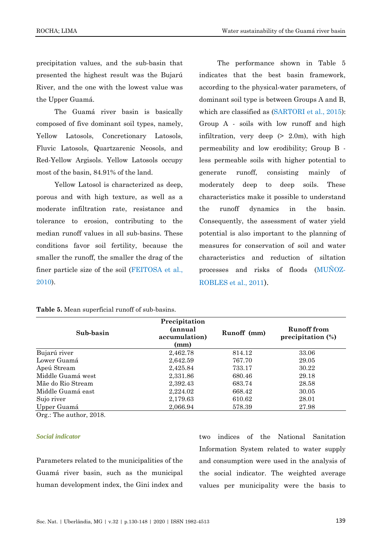precipitation values, and the sub-basin that presented the highest result was the Bujarú River, and the one with the lowest value was the Upper Guamá.

The Guamá river basin is basically composed of five dominant soil types, namely, Yellow Latosols, Concretionary Latosols, Fluvic Latosols, Quartzarenic Neosols, and Red-Yellow Argisols. Yellow Latosols occupy most of the basin, 84.91% of the land.

Yellow Latosol is characterized as deep, porous and with high texture, as well as a moderate infiltration rate, resistance and tolerance to erosion, contributing to the median runoff values in all sub-basins. These conditions favor soil fertility, because the smaller the runoff, the smaller the drag of the finer particle size of the soil [\(FEITOSA et al.,](#page-16-11)  [2010\)](#page-16-11).

The performance shown in Table 5 indicates that the best basin framework, according to the physical-water parameters, of dominant soil type is between Groups A and B, which are classified as [\(SARTORI et al., 2015\)](#page-17-14): Group A - soils with low runoff and high infiltration, very deep  $(> 2.0m)$ , with high permeability and low erodibility; Group B less permeable soils with higher potential to generate runoff, consisting mainly of moderately deep to deep soils. These characteristics make it possible to understand the runoff dynamics in the basin. Consequently, the assessment of water yield potential is also important to the planning of measures for conservation of soil and water characteristics and reduction of siltation processes and risks of floods [\(MUÑOZ-](#page-16-12)[ROBLES et al., 2011](#page-16-12)).

| Sub-basin         | Precipitation<br>(annual<br>accumulation)<br>(mm) | Runoff (mm) | Runoff from<br>precipitation $(\%)$ |
|-------------------|---------------------------------------------------|-------------|-------------------------------------|
| Bujarú river      | 2,462.78                                          | 814.12      | 33.06                               |
| Lower Guamá       | 2,642.59                                          | 767.70      | 29.05                               |
| Apeú Stream       | 2,425.84                                          | 733.17      | 30.22                               |
| Middle Guamá west | 2,331.86                                          | 680.46      | 29.18                               |
| Mãe do Rio Stream | 2,392.43                                          | 683.74      | 28.58                               |
| Middle Guamá east | 2,224.02                                          | 668.42      | 30.05                               |
| Sujo river        | 2,179.63                                          | 610.62      | 28.01                               |
| Upper Guamá       | 2.066.94                                          | 578.39      | 27.98                               |

**Table 5.** Mean superficial runoff of sub-basins.

Org.: The author, 2018.

#### *Social indicator*

Parameters related to the municipalities of the Guamá river basin, such as the municipal human development index, the Gini index and

two indices of the National Sanitation Information System related to water supply and consumption were used in the analysis of the social indicator. The weighted average values per municipality were the basis to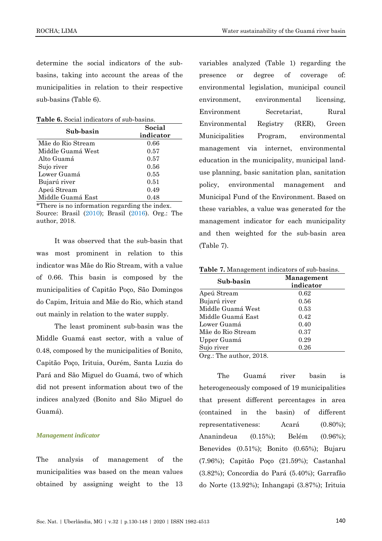determine the social indicators of the subbasins, taking into account the areas of the municipalities in relation to their respective sub-basins (Table 6).

**Table 6.** Social indicators of sub-basins.

| Sub-basin         | Social    |
|-------------------|-----------|
|                   | indicator |
| Mãe do Rio Stream | 0.66      |
| Middle Guamá West | 0.57      |
| Alto Guamá        | 0.57      |
| Sujo river        | 0.56      |
| Lower Guamá       | 0.55      |
| Bujarú river      | 0.51      |
| Apeú Stream       | 0.49      |
| Middle Guamá East | 0.48      |

\*There is no information regarding the index. Source: Brasil [\(2010\)](#page-15-8); Brasil [\(2016\)](#page-15-13). Org.: The author, 2018.

It was observed that the sub-basin that was most prominent in relation to this indicator was Mãe do Rio Stream, with a value of 0.66. This basin is composed by the municipalities of Capitão Poço, São Domingos do Capim, Irituia and Mãe do Rio, which stand out mainly in relation to the water supply.

The least prominent sub-basin was the Middle Guamá east sector, with a value of 0.48, composed by the municipalities of Bonito, Capitão Poço, Irituia, Ourém, Santa Luzia do Pará and São Miguel do Guamá, two of which did not present information about two of the indices analyzed (Bonito and São Miguel do Guamá).

#### *Management indicator*

The analysis of management of the municipalities was based on the mean values obtained by assigning weight to the 13 variables analyzed (Table 1) regarding the presence or degree of coverage of: environmental legislation, municipal council environment, environmental licensing, Environment Secretariat, Rural Environmental Registry (RER), Green Municipalities Program, environmental management via internet, environmental education in the municipality, municipal landuse planning, basic sanitation plan, sanitation policy, environmental management and Municipal Fund of the Environment. Based on these variables, a value was generated for the management indicator for each municipality and then weighted for the sub-basin area (Table 7).

| Table 7. Management indicators of sub-basins. |  |
|-----------------------------------------------|--|
|-----------------------------------------------|--|

| Sub-basin               | <b>Management</b><br>indicator |
|-------------------------|--------------------------------|
| Apeú Stream             | 0.62                           |
| Bujarú river            | 0.56                           |
| Middle Guamá West       | 0.53                           |
| Middle Guamá East       | 0.42                           |
| Lower Guamá             | 0.40                           |
| Mãe do Rio Stream       | 0.37                           |
| Upper Guamá             | 0.29                           |
| Sujo river              | 0.26                           |
| Org.: The author, 2018. |                                |

The Guamá river basin is heterogeneously composed of 19 municipalities that present different percentages in area (contained in the basin) of different representativeness: Acará (0.80%); Ananindeua (0.15%); Belém (0.96%); Benevides (0.51%); Bonito (0.65%); Bujaru (7.96%); Capitão Poço (21.59%); Castanhal (3.82%); Concordia do Pará (5.40%); Garrafão do Norte (13.92%); Inhangapi (3.87%); Irituia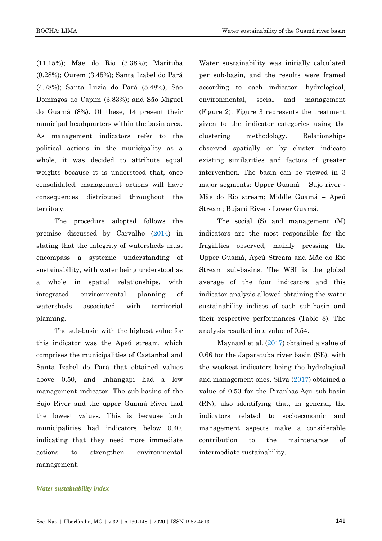(11.15%); Mãe do Rio (3.38%); Marituba (0.28%); Ourem (3.45%); Santa Izabel do Pará (4.78%); Santa Luzia do Pará (5.48%), São Domingos do Capim (3.83%); and São Miguel do Guamá (8%). Of these, 14 present their municipal headquarters within the basin area. As management indicators refer to the political actions in the municipality as a whole, it was decided to attribute equal weights because it is understood that, once consolidated, management actions will have consequences distributed throughout the territory.

The procedure adopted follows the premise discussed by Carvalho [\(2014\)](#page-15-0) in stating that the integrity of watersheds must encompass a systemic understanding of sustainability, with water being understood as a whole in spatial relationships, with integrated environmental planning of watersheds associated with territorial planning.

The sub-basin with the highest value for this indicator was the Apeú stream, which comprises the municipalities of Castanhal and Santa Izabel do Pará that obtained values above 0.50, and Inhangapi had a low management indicator. The sub-basins of the Sujo River and the upper Guamá River had the lowest values. This is because both municipalities had indicators below 0.40, indicating that they need more immediate actions to strengthen environmental management.

Water sustainability was initially calculated per sub-basin, and the results were framed according to each indicator: hydrological, environmental, social and management (Figure 2). Figure 3 represents the treatment given to the indicator categories using the clustering methodology. Relationships observed spatially or by cluster indicate existing similarities and factors of greater intervention. The basin can be viewed in 3 major segments: Upper Guamá – Sujo river - Mãe do Rio stream; Middle Guamá – Apeú Stream; Bujarú River - Lower Guamá.

The social (S) and management (M) indicators are the most responsible for the fragilities observed, mainly pressing the Upper Guamá, Apeú Stream and Mãe do Rio Stream sub-basins. The WSI is the global average of the four indicators and this indicator analysis allowed obtaining the water sustainability indices of each sub-basin and their respective performances (Table 8). The analysis resulted in a value of 0.54.

Maynard et al. [\(2017\)](#page-16-13) obtained a value of 0.66 for the Japaratuba river basin (SE), with the weakest indicators being the hydrological and management ones. Silva [\(2017\)](#page-17-6) obtained a value of 0.53 for the Piranhas-Açu sub-basin (RN), also identifying that, in general, the indicators related to socioeconomic and management aspects make a considerable contribution to the maintenance of intermediate sustainability.

# *Water sustainability index*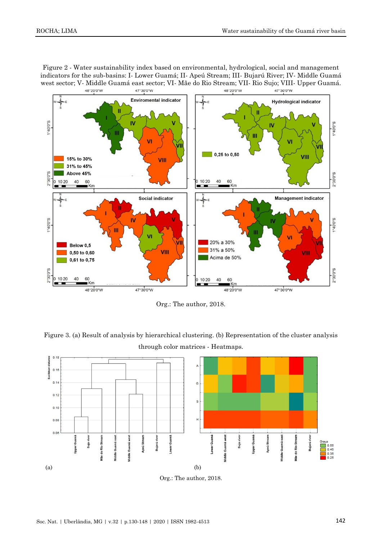Figure 2 - Water sustainability index based on environmental, hydrological, social and management indicators for the sub-basins: I- Lower Guamá; II- Apeú Stream; III- Bujarú River; IV- Middle Guamá west sector; V- Middle Guamá east sector; VI- Mãe do Rio Stream; VII- Rio Sujo; VIII- Upper Guamá. 48°20'0"W 47°30'0"W 48°20'0"W 47°30'0"W



Org.: The author, 2018.

Figure 3. (a) Result of analysis by hierarchical clustering. (b) Representation of the cluster analysis through color matrices - Heatmaps.



Org.: The author, 2018.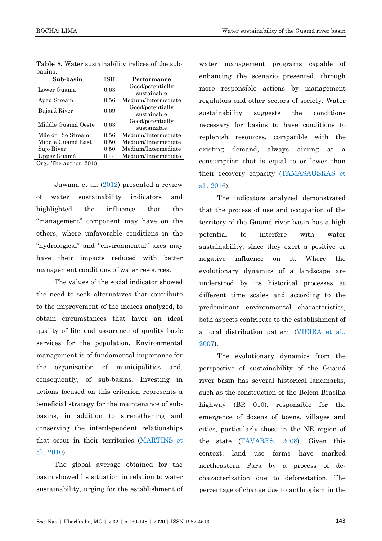| Sub-basin          | ISH  | Performance         |
|--------------------|------|---------------------|
| Lower Guamá        | 0.63 | Good/potentially    |
|                    |      | sustainable         |
| Apeú Stream        | 0.56 | Medium/Intermediate |
| Bujarú River       | 0.69 | Good/potentially    |
|                    |      | sustainable         |
| Middle Guamá Oeste | 0.63 | Good/potentially    |
|                    |      | sustainable         |
| Mãe do Rio Stream  | 0.56 | Medium/Intermediate |
| Middle Guamá East  | 0.50 | Medium/Intermediate |
| Sujo River         | 0.50 | Medium/Intermediate |
| Upper Guamá        | 0.44 | Medium/Intermediate |

**Table 8.** Water sustainability indices of the subbasins.

Org.: The author, 2018.

Juwana et al. [\(2012\)](#page-16-4) presented a review of water sustainability indicators and highlighted the influence that the "management" component may have on the others, where unfavorable conditions in the "hydrological" and "environmental" axes may have their impacts reduced with better management conditions of water resources.

The values of the social indicator showed the need to seek alternatives that contribute to the improvement of the indices analyzed, to obtain circumstances that favor an ideal quality of life and assurance of quality basic services for the population. Environmental management is of fundamental importance for the organization of municipalities and, consequently, of sub-basins. Investing in actions focused on this criterion represents a beneficial strategy for the maintenance of subbasins, in addition to strengthening and conserving the interdependent relationships that occur in their territories [\(MARTINS et](#page-16-14)  [al., 2010\)](#page-16-14).

The global average obtained for the basin showed its situation in relation to water sustainability, urging for the establishment of water management programs capable of enhancing the scenario presented, through more responsible actions by management regulators and other sectors of society. Water sustainability suggests the conditions necessary for basins to have conditions to replenish resources, compatible with the existing demand, always aiming at a consumption that is equal to or lower than their recovery capacity [\(TAMASAUSKAS et](#page-18-9)  [al., 2016\)](#page-18-9).

The indicators analyzed demonstrated that the process of use and occupation of the territory of the Guamá river basin has a high potential to interfere with water sustainability, since they exert a positive or negative influence on it. Where the evolutionary dynamics of a landscape are understood by its historical processes at different time scales and according to the predominant environmental characteristics, both aspects contribute to the establishment of a local distribution pattern [\(VIEIRA et al.,](#page-18-10)  [2007\)](#page-18-10).

The evolutionary dynamics from the perspective of sustainability of the Guamá river basin has several historical landmarks, such as the construction of the Belém-Brasília highway (BR 010), responsible for the emergence of dozens of towns, villages and cities, particularly those in the NE region of the state [\(TAVARES, 2008\)](#page-18-11). Given this context, land use forms have marked northeastern Pará by a process of decharacterization due to deforestation. The percentage of change due to anthropism in the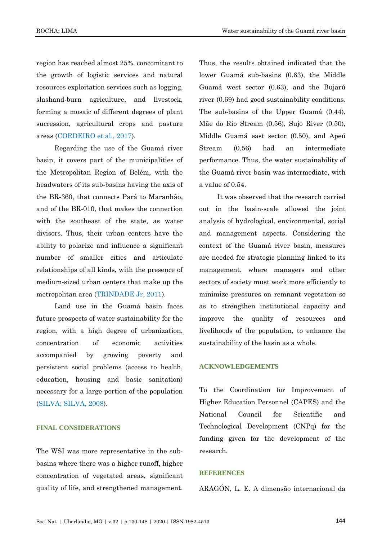region has reached almost 25%, concomitant to the growth of logistic services and natural resources exploitation services such as logging, slashand-burn agriculture, and livestock, forming a mosaic of different degrees of plant succession, agricultural crops and pasture areas [\(CORDEIRO et al., 2017\)](#page-16-15).

Regarding the use of the Guamá river basin, it covers part of the municipalities of the Metropolitan Region of Belém, with the headwaters of its sub-basins having the axis of the BR-360, that connects Pará to Maranhão, and of the BR-010, that makes the connection with the southeast of the state, as water divisors. Thus, their urban centers have the ability to polarize and influence a significant number of smaller cities and articulate relationships of all kinds, with the presence of medium-sized urban centers that make up the metropolitan area [\(TRINDADE Jr, 2011\)](#page-18-0).

Land use in the Guamá basin faces future prospects of water sustainability for the region, with a high degree of urbanization, concentration of economic activities accompanied by growing poverty and persistent social problems (access to health, education, housing and basic sanitation) necessary for a large portion of the population [\(SILVA; SILVA, 2008\)](#page-17-15).

# **FINAL CONSIDERATIONS**

The WSI was more representative in the subbasins where there was a higher runoff, higher concentration of vegetated areas, significant quality of life, and strengthened management. Thus, the results obtained indicated that the lower Guamá sub-basins (0.63), the Middle Guamá west sector (0.63), and the Bujarú river (0.69) had good sustainability conditions. The sub-basins of the Upper Guamá (0.44), Mãe do Rio Stream (0.56), Sujo River (0.50), Middle Guamá east sector (0.50), and Apeú Stream (0.56) had an intermediate performance. Thus, the water sustainability of the Guamá river basin was intermediate, with a value of 0.54.

It was observed that the research carried out in the basin-scale allowed the joint analysis of hydrological, environmental, social and management aspects. Considering the context of the Guamá river basin, measures are needed for strategic planning linked to its management, where managers and other sectors of society must work more efficiently to minimize pressures on remnant vegetation so as to strengthen institutional capacity and improve the quality of resources and livelihoods of the population, to enhance the sustainability of the basin as a whole.

#### **ACKNOWLEDGEMENTS**

To the Coordination for Improvement of Higher Education Personnel (CAPES) and the National Council for Scientific and Technological Development (CNPq) for the funding given for the development of the research.

# **REFERENCES**

<span id="page-14-0"></span>ARAGÓN, L. E. A dimensão internacional da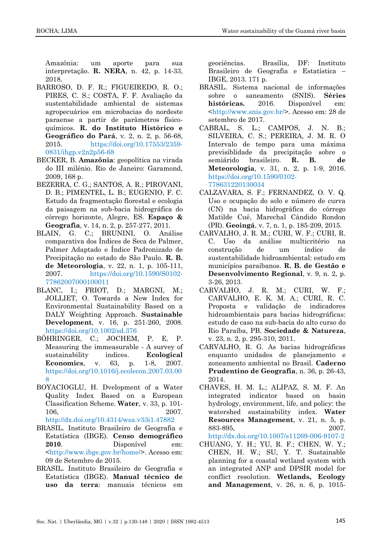Amazônia: um aporte para sua interpretação. **R. NERA**, n. 42, p. 14-33, 2018.

- BARROSO, D. F. R.; FIGUEIREDO, R. O.; PIRES, C. S.; COSTA, F. F. Avaliação da sustentabilidade ambiental de sistemas agropecuários em microbacias do nordeste paraense a partir de parâmetros físicoquímicos. **R. do Instituto Histórico e Geográfico do Pará**, v. 2, n. 2, p. 56-68, 2015. [https://doi.org/10.17553/2359-](https://doi.org/10.17553/2359-0831/ihgp.v2n2p56-68) [0831/ihgp.v2n2p56-68](https://doi.org/10.17553/2359-0831/ihgp.v2n2p56-68)
- <span id="page-15-7"></span>BECKER, B. **Amazônia**: geopolítica na virada do III milênio. Rio de Janeiro: Garamond, 2009, 168 p.
- BEZERRA, C. G.; SANTOS, A. R.; PIROVANI, D. B.; PIMENTEL, L. B.; EUGENIO, F. C. Estudo da fragmentação florestal e ecologia da paisagem na sub-bacia hidrográfica do córrego horizonte, Alegre, ES. **Espaço & Geografia**, v. 14, n. 2, p. 257-277, 2011.
- <span id="page-15-4"></span>BLAIN, G. C.; BRUNINI, O. Análise comparativa dos Índices de Seca de Palmer, Palmer Adaptado e Índice Padronizado de Precipitação no estado de São Paulo. **R. B. de Meteorologia**, v. 22, n. 1, p. 105-111, 2007. [https://doi.org/10.1590/S0102-](https://doi.org/10.1590/S0102-77862007000100011) [77862007000100011](https://doi.org/10.1590/S0102-77862007000100011)
- <span id="page-15-3"></span>BLANC, I.; FRIOT, D.; MARGNI, M.; JOLLIET, O. Towards a New Index for Environmental Sustainability Based on a DALY Weighting Approach. **Sustainable Development**, v. 16, p. 251-260, 2008. <https://doi.org/10.1002/sd.376>
- <span id="page-15-2"></span>BÖHRINGER, C.; JOCHEM, P. E. P. Measuring the immeasurable - A survey of sustainability indices. **Ecological Economics**, v. 63, p. 1-8, 2007. [https://doi.org/10.1016/j.ecolecon.2007.03.00](https://doi.org/10.1016/j.ecolecon.2007.03.008)  $\mathbf{Q}$
- <span id="page-15-5"></span>BOYACIOGLU, H. Dvelopment of a Water Quality Index Based on a European Classification Scheme. **Water**, v. 33, p. 101- 106, 2007. <http://dx.doi.org/10.4314/wsa.v33i1.47882>
- <span id="page-15-8"></span>BRASIL. Instituto Brasileiro de Geografia e Estatística (IBGE). **Censo demográfico 2010**. Disponível em: [<http://www.ibge.gov.br/home/>](http://www.ibge.gov.br/home/). Acesso em: 09 de Setembro de 2015.
- <span id="page-15-9"></span>BRASIL. Instituto Brasileiro de Geografia e Estatística (IBGE). **Manual técnico de uso da terra**: manuais técnicos em

geociências. Brasília, DF: Instituto Brasileiro de Geografia e Estatística – IBGE, 2013. 171 p.

- <span id="page-15-13"></span>BRASIL. Sistema nacional de informações sobre o saneamento (SNIS). **Séries históricas.** 2016. Disponível em: [<http://www.snis.gov.br/>](http://www.snis.gov.br/). Acesso em: 28 de setembro de 2017.
- CABRAL, S. L.; CAMPOS, J. N. B.; SILVEIRA, C. S.; PEREIRA, J. M. R. O Intervalo de tempo para uma máxima previsiblidade da precipitação sobre o semiárido brasileiro. **R. B. de Meteorologia**, v. 31, n. 2, p. 1-9, 2016. [https://doi.org/10.1590/0102-](https://doi.org/10.1590/0102-778631220130034) [778631220130034](https://doi.org/10.1590/0102-778631220130034)
- <span id="page-15-10"></span>CALZAVARA, S. F.; FERNANDEZ, O. V. Q. Uso e ocupação do solo e número de curva (CN) na bacia hidrográfica do córrego Matilde Cuê, Marechal Cândido Rondon (PR). **Geoingá**, v. 7, n. 1, p. 185-209, 2015.
- <span id="page-15-11"></span>CARVALHO, J. R. M.; CURI, W. F.; CURI, R. C. Uso da análise multicritério na construção de um índice de sustentabilidade hidroambiental: estudo em municípios paraibanos. **R. B. de Gestão e Desenvolvimento Regional**, v. 9, n. 2, p. 3-26, 2013.
- <span id="page-15-1"></span>CARVALHO, J. R. M.; CURI, W. F.; CARVALHO, E. K. M. A.; CURI, R. C. Proposta e validação de indicadores hidroambientais para bacias hidrográficas: estudo de caso na sub-bacia do alto curso do Rio Paraíba, PB. **Sociedade & Natureza**, v. 23, n. 2, p. 295-310, 2011.
- <span id="page-15-0"></span>CARVALHO, R. G. As bacias hidrográficas enquanto unidades de planejamento e zoneamento ambiental no Brasil. **Caderno Prudentino de Geografia**, n. 36, p. 26-43, 2014.
- <span id="page-15-6"></span>CHAVES, H. M. L.; ALIPAZ, S. M. F. An integrated indicator based on basin hydrology, environment, life, and policy: the watershed sustainability index. **Water Resources Management**, v. 21, n. 5, p. 883-895, 2007. <http://dx.doi.org/10.1007/s11269-006-9107-2>
- <span id="page-15-12"></span>CHUANG, Y. H.; YU, R. F.; CHEN, W. Y.; CHEN, H. W.; SU, Y. T. Sustainable planning for a coastal wetland system with an integrated ANP and DPSIR model for conflict resolution. **Wetlands, Ecology and Management**, v. 26, n. 6, p. 1015-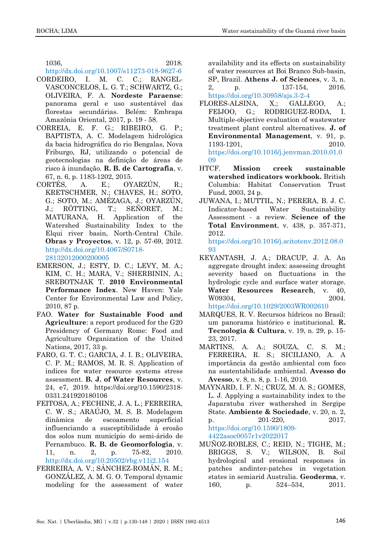1036, 2018.

<http://dx.doi.org/10.1007/s11273-018-9627-6>

- <span id="page-16-15"></span>CORDEIRO, I. M. C. C.; RANGEL-VASCONCELOS, L. G. T.; SCHWARTZ, G.; OLIVEIRA, F. A. **Nordeste Paraense**: panorama geral e uso sustentável das florestas secundárias. Belém: Embrapa Amazônia Oriental, 2017, p. 19 - 58.
- <span id="page-16-9"></span>CORREIA, E. F. G.; RIBEIRO, G. P.; BAPTISTA, A. C. Modelagem hidrológica da bacia hidrográfica do rio Bengalas, Nova Friburgo, RJ, utilizando o potencial de geotecnologias na definição de áreas de risco à inundação. **R. B. de Cartografia**, v. 67, n. 6, p. 1183-1202, 2015.
- <span id="page-16-1"></span>CORTÉS, A. E.; OYARZÚN, R.; KRETSCHMER, N.; CHAVES, H.; SOTO, G.; SOTO, M.; AMÉZAGA, J.; OYARZÚN, J.; RÖTTING, T.; SEÑORET, M.; MATURANA, H. Application of the Watershed Sustainability Index to the Elqui river basin, North-Central Chile. **Obras y Proyectos**, v. 12, p. 57-69, 2012. [http://dx.doi.org/10.4067/S0718-](http://dx.doi.org/10.4067/S0718-28132012000200005) [28132012000200005](http://dx.doi.org/10.4067/S0718-28132012000200005)
- <span id="page-16-3"></span>EMERSON, J.; ESTY, D. C.; LEVY, M. A.; KIM, C. H.; MARA, V.; SHERBININ, A.; SREBOTNJAK T. **2010 Environmental Performance Index**. New Haven: Yale Center for Environmental Law and Policy, 2010, 87 p.
- <span id="page-16-2"></span>FAO. **Water for Sustainable Food and Agriculture**: a report produced for the G20 Presidency of Germany Rome: Food and Agriculture Organization of the United Nations, 2017, 33 p.
- <span id="page-16-6"></span>FARO, G. T. C.; GARCIA, J. I. B.; OLIVEIRA, C. P. M.; RAMOS, M. R. S. Application of indices for water resource systems stress assessment. **B. J. of Water Resources**, v. 24, e7, 2019. https://doi.org/10.1590/2318- 0331.241920180106
- <span id="page-16-11"></span>FEITOSA, A.; FECHINE, J. A. L.; FERREIRA, C. W. S.; ARAÚJO, M. S. B. Modelagem dinâmica de escoamento superficial influenciando a susceptibilidade à erosão dos solos num município do semi-árido de Pernambuco. **R. B. de Geomorfologia**, v. 11, n. 2, p. 75-82, 2010. <http://dx.doi.org/10.20502/rbg.v11i2.154>
- <span id="page-16-7"></span>FERREIRA, A. V.; SÁNCHEZ-ROMÁN, R. M.; GONZÁLEZ, A. M. G. O. Temporal dynamic modeling for the assessment of water

availability and its effects on sustainability of water resources at Boi Branco Sub-basin, SP, Brazil. **Athens J. of Sciences**, v. 3, n. 2, p. 137-154, 2016. <https://doi.org/10.30958/ajs.3-2-4>

- <span id="page-16-10"></span>FLORES-ALSINA, X.; GALLEGO, A.; FEIJOO, G.; RODRIGUEZ-RODA, I. Multiple-objective evaluation of wastewater treatment plant control alternatives. **J. of Environmental Management**, v. 91, p. 1193-1201, 2010. [https://doi.org/10.1016/j.jenvman.2010.01.0](https://doi.org/10.1016/j.jenvman.2010.01.009) [09](https://doi.org/10.1016/j.jenvman.2010.01.009)
- <span id="page-16-8"></span>HTCF. **Mission creek sustainable watershed indicators workbook.** British Columbia: Habitat Conservation Trust Fund, 2003, 24 p.
- <span id="page-16-4"></span>JUWANA, I.; MUTTIL, N.; PERERA, B. J. C. Indicator-based Water Sustainability Assessment - a review. **Science of the Total Environment**, v. 438, p. 357-371, 2012.

[https://doi.org/10.1016/j.scitotenv.2012.08.0](https://doi.org/10.1016/j.scitotenv.2012.08.093) [93](https://doi.org/10.1016/j.scitotenv.2012.08.093)

- <span id="page-16-5"></span>KEYANTASH, J. A.; DRACUP, J. A. An aggregate drought index: assessing drought severity based on fluctuations in the hydrologic cycle and surface water storage. **Water Resources Research**, v. 40, W09304, 2004. <https://doi.org/10.1029/2003WR002610>
- <span id="page-16-0"></span>MARQUES, R. V. Recursos hídricos no Brasil: um panorama histórico e institucional. **R. Tecnologia & Cultura**, v. 19, n. 29, p. 15- 23, 2017.
- <span id="page-16-14"></span>MARTINS, A. A.; SOUZA, C. S. M.; FERREIRA, R. S.; SICILIANO, A. A importância da gestão ambiental com foco na sustentabilidade ambiental. **Avesso do Avesso**, v. 8, n. 8, p. 1-16, 2010.
- <span id="page-16-13"></span>MAYNARD, I. F. N.; CRUZ, M. A. S.; GOMES, L. J. Applying a sustainability index to the Japaratuba river wathershed in Sergipe State. **Ambiente & Sociedade**, v. 20, n. 2, p. 201-220, 2017. [https://doi.org/10.1590/1809-](https://doi.org/10.1590/1809-4422asoc0057r1v2022017) [4422asoc0057r1v2022017](https://doi.org/10.1590/1809-4422asoc0057r1v2022017)
- <span id="page-16-12"></span>MUÑOZ-ROBLES, C.; REID, N.; TIGHE, M.; BRIGGS, S. V.; WILSON, B. Soil hydrological and erosional responses in patches andinter-patches in vegetation states in semiarid Australia. **Geoderma**, v. 160, p. 524–534, 2011.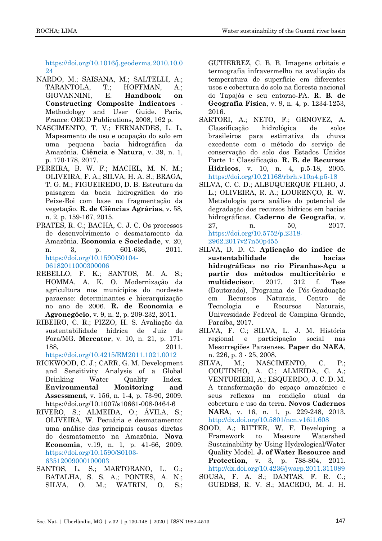[https://doi.org/10.1016/j.geoderma.2010.10.0](https://doi.org/10.1016/j.geoderma.2010.10.024) [24](https://doi.org/10.1016/j.geoderma.2010.10.024)

- <span id="page-17-3"></span>NARDO, M.; SAISANA, M.; SALTELLI, A.; TARANTOLA, T.; HOFFMAN, A.; GIOVANNINI, E. **Handbook on Constructing Composite Indicators** - Methodology and User Guide. Paris, France: OECD Publications, 2008, 162 p.
- <span id="page-17-12"></span>NASCIMENTO, T. V.; FERNANDES, L. L. Mapeamento de uso e ocupação do solo em uma pequena bacia hidrográfica da Amazônia. **Ciência e Natura**, v. 39, n. 1, p. 170-178, 2017.
- <span id="page-17-11"></span>PEREIRA, B. W. F.; MACIEL, M. N. M.; OLIVEIRA, F. A.; SILVA, H. A. S.; BRAGA, T. G. M.; FIGUEIREDO, D. B. Estrutura da paisagem da bacia hidrográfica do rio Peixe-Boi com base na fragmentação da vegetação. **R. de Ciências Agrárias**, v. 58, n. 2, p. 159-167, 2015.
- <span id="page-17-0"></span>PRATES, R. C.; BACHA, C. J. C. Os processos de desenvolvimento e desmatamento da Amazônia. **Economia e Sociedade**, v. 20, n. 3, p. 601-636, 2011. [https://doi.org/10.1590/S0104-](https://doi.org/10.1590/S0104-06182011000300006) [06182011000300006](https://doi.org/10.1590/S0104-06182011000300006)
- <span id="page-17-10"></span>REBELLO, F. K.; SANTOS, M. A. S.; HOMMA, A. K. O. Modernização da agricultura nos municípios do nordeste paraense: determinantes e hierarquização no ano de 2006. **R. de Economia e Agronegócio**, v. 9, n. 2, p. 209-232, 2011.
- <span id="page-17-1"></span>RIBEIRO, C. R.; PIZZO, H. S. Avaliação da sustentabilidade hídrica de Juiz de Fora/MG. **Mercator**, v. 10, n. 21, p. 171- 188, 2011.

<https://doi.org/10.4215/RM2011.1021.0012>

- <span id="page-17-4"></span>RICKWOOD, C. J.; CARR, G. M. Development and Sensitivity Analysis of a Global Drinking Water Quality Index. **Environmental Monitoring and Assessment**, v. 156, n. 1-4, p. 73-90, 2009. https://doi.org/10.1007/s10661-008-0464-6
- <span id="page-17-7"></span>RIVERO, S.; ALMEIDA, O.; ÁVILA, S.; OLIVEIRA, W. Pecuária e desmatamento: uma análise das principais causas diretas do desmatamento na Amazônia. **Nova Economia**, v.19, n. 1, p. 41-66, 2009. [https://doi.org/10.1590/S0103-](https://doi.org/10.1590/S0103-63512009000100003) [63512009000100003](https://doi.org/10.1590/S0103-63512009000100003)
- <span id="page-17-9"></span>SANTOS, L. S.; MARTORANO, L. G.; BATALHA, S. S. A.; PONTES, A. N.; SILVA, O. M.; WATRIN, O. S.;

GUTIERREZ, C. B. B. Imagens orbitais e termografia infravermelho na avaliação da temperatura de superfície em diferentes usos e cobertura do solo na floresta nacional do Tapajós e seu entorno-PA. **R. B. de Geografia Física**, v. 9, n. 4, p. 1234-1253, 2016.

- <span id="page-17-14"></span>SARTORI, A.; NETO, F.; GENOVEZ, A. Classificação hidrológica de solos brasileiros para estimativa da chuva excedente com o método do serviço de conservação do solo dos Estados Unidos Parte 1: Classificação. **R. B. de Recursos Hídricos**, v. 10, n. 4, p.5-18, 2005. <https://doi.org/10.21168/rbrh.v10n4.p5-18>
- <span id="page-17-13"></span>SILVA, C. C. D.; ALBUQUERQUE FILHO, J. L.; OLIVEIRA, R. A.; LOURENÇO, R. W. Metodologia para análise do potencial de degradação dos recursos hídricos em bacias hidrográficas. **Caderno de Geografia**, v. 27, n. 50, 2017. [https://doi.org/10.5752/p.2318-](https://doi.org/10.5752/p.2318-2962.2017v27n50p455) [2962.2017v27n50p455](https://doi.org/10.5752/p.2318-2962.2017v27n50p455)
- <span id="page-17-6"></span>SILVA, D. D. C. **Aplicação do índice de sustentabilidade de bacias hidrográficas no rio Piranhas-Açu a partir dos métodos multicritério e multidecisor**. 2017. 312 f. Tese (Doutorado), Programa de Pós-Graduação em Recursos Naturais, Centro de Tecnologia e Recursos Naturais, Universidade Federal de Campina Grande, Paraíba, 2017.
- <span id="page-17-15"></span>SILVA, F. C.; SILVA, L. J. M. História regional e participação social nas Mesorregiões Paraenses. **Paper do NAEA**, n. 226, p. 3 - 25, 2008.
- <span id="page-17-8"></span>SILVA, M.; NASCIMENTO, C. P.; COUTINHO, A. C.; ALMEIDA, C. A.; VENTURIERI, A.; ESQUERDO, J. C. D. M. A transformação do espaço amazônico e seus reflexos na condição atual da cobertura e uso da terra. **Novos Cadernos NAEA**, v. 16, n. 1, p. 229-248, 2013. <http://dx.doi.org/10.5801/ncn.v16i1.608>

<span id="page-17-2"></span>SOOD, A.; RITTER, W. F. Developing a Framework to Measure Watershed Sustainability by Using Hydrological/Water Quality Model. **J. of Water Resource and Protection**, v. 3, p. 788-804, 2011. <http://dx.doi.org/10.4236/jwarp.2011.311089>

<span id="page-17-5"></span>SOUSA, F. A. S.; DANTAS, F. R. C.; GUEDES, R. V. S.; MACEDO, M. J. H.